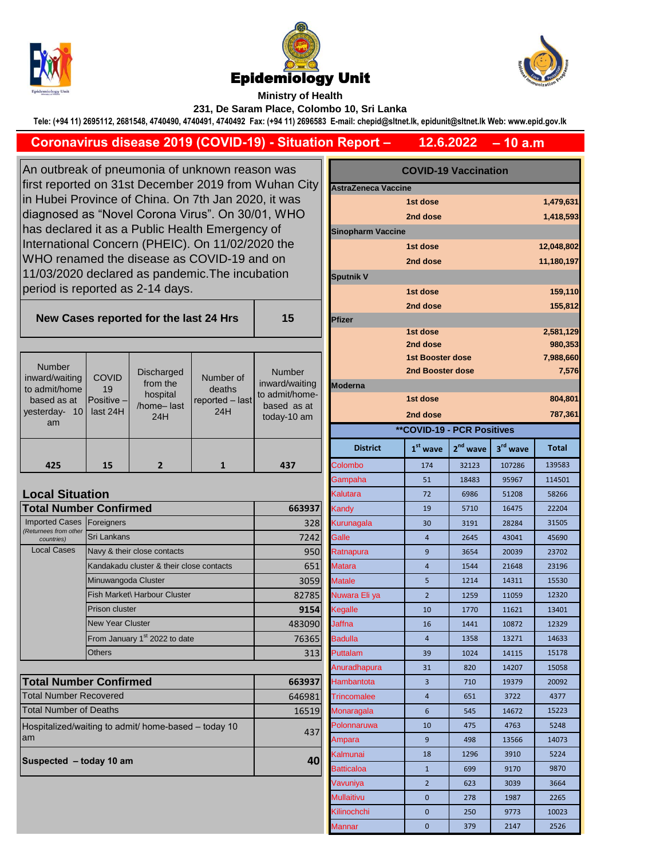





**Ministry of Health 231, De Saram Place, Colombo 10, Sri Lanka**

**Tele: (+94 11) 2695112, 2681548, 4740490, 4740491, 4740492 Fax: (+94 11) 2696583 E-mail: chepid@sltnet.lk, epidunit@sltnet.lk Web: www.epid.gov.lk**

## **– 10 a.m 12.6.2022 Coronavirus disease 2019 (COVID-19) - Situation Report –**

An outbreak of pneumonia of unknown reason was first reported on 31st December 2019 from Wuhan City in Hubei Province of China. On 7th Jan 2020, it was diagnosed as "Novel Corona Virus". On 30/01, WHO has declared it as a Public Health Emergency of International Concern (PHEIC). On 11/02/2020 the WHO renamed the disease as COVID-19 and on 11/03/2020 declared as pandemic.The incubation period is reported as 2-14 days.

**New Cases reported for the last 24 Hrs** 

| <b>Number</b><br>inward/waiting<br>to admit/home<br>based as at<br>vesterday-<br>10 <sup>1</sup><br>am | <b>COVID</b><br>19<br>Positive $-$<br>last 24H | Discharged<br>from the<br>hospital<br>/home-last<br>24H | Number of<br>deaths<br>reported - last<br>24H | <b>Number</b><br>inward/waiting<br>to admit/home-<br>based as at<br>today-10 am |
|--------------------------------------------------------------------------------------------------------|------------------------------------------------|---------------------------------------------------------|-----------------------------------------------|---------------------------------------------------------------------------------|
|                                                                                                        |                                                |                                                         |                                               |                                                                                 |

| <b>Local Situation</b>              |                                           |            | Kalutara        | 72             | 6986 | 51208 | 58266 |
|-------------------------------------|-------------------------------------------|------------|-----------------|----------------|------|-------|-------|
| <b>Total Number Confirmed</b>       |                                           | 663937     | Kandv           | 19             | 5710 | 16475 | 22204 |
| Imported Cases Foreigners           |                                           | <b>328</b> | Kurunagala      | 30             | 3191 | 28284 | 31505 |
| (Returnees from other<br>countries) | <b>Sri Lankans</b>                        | 7242       | Galle           | 4              | 2645 | 43041 | 45690 |
| <b>Local Cases</b>                  | Navy & their close contacts               | 950        | Ratnapura       | 9              | 3654 | 20039 | 23702 |
|                                     | Kandakadu cluster & their close contacts  | 651        | <b>Matara</b>   | 4              | 1544 | 21648 | 23196 |
|                                     | Minuwangoda Cluster                       | 3059       | <b>Matale</b>   | 5              | 1214 | 14311 | 15530 |
|                                     | Fish Market\ Harbour Cluster              | 82785      | Nuwara Eli ya   | $\overline{2}$ | 1259 | 11059 | 12320 |
|                                     | <b>Prison cluster</b>                     | 9154       | Kegalle         | 10             | 1770 | 11621 | 13401 |
|                                     | <b>New Year Cluster</b>                   | 483090     | <b>Jaffna</b>   | 16             | 1441 | 10872 | 12329 |
|                                     | From January 1 <sup>st</sup> 2022 to date | 76365      | <b>Badulla</b>  | $\overline{4}$ | 1358 | 13271 | 14633 |
|                                     | <b>Others</b>                             | 313        | <b>Puttalam</b> | 39             | 1024 | 14115 | 15178 |
|                                     |                                           |            | Anuradhapura    | 31             | 820  | 14207 | 15058 |

| <b>Total Number Confirmed</b>                               | 663937 |
|-------------------------------------------------------------|--------|
| <b>ITotal Number Recovered</b>                              | 646981 |
| <b>Total Number of Deaths</b>                               | 16519  |
| Hospitalized/waiting to admit/ home-based – today 10<br>lam | 437    |
| Suspected - today 10 am                                     | 40     |

| utbreak of pneumonia of unknown reason was<br>reported on 31st December 2019 from Wuhan City<br>ubei Province of China. On 7th Jan 2020, it was |                           |                                          |                                             | <b>COVID-19 Vaccination</b>                  |                                             |                                   |            |                      |            |  |
|-------------------------------------------------------------------------------------------------------------------------------------------------|---------------------------|------------------------------------------|---------------------------------------------|----------------------------------------------|---------------------------------------------|-----------------------------------|------------|----------------------|------------|--|
|                                                                                                                                                 |                           |                                          |                                             | AstraZeneca Vaccine<br>1st dose<br>1,479,631 |                                             |                                   |            |                      |            |  |
| nosed as "Novel Corona Virus". On 30/01, WHO                                                                                                    |                           |                                          |                                             |                                              |                                             |                                   |            |                      |            |  |
| declared it as a Public Health Emergency of                                                                                                     |                           |                                          |                                             |                                              | 2nd dose<br>1,418,593                       |                                   |            |                      |            |  |
|                                                                                                                                                 |                           |                                          | national Concern (PHEIC). On 11/02/2020 the |                                              | <b>Sinopharm Vaccine</b>                    |                                   |            |                      | 12,048,802 |  |
|                                                                                                                                                 |                           |                                          | O renamed the disease as COVID-19 and on    |                                              | 1st dose                                    |                                   |            |                      |            |  |
|                                                                                                                                                 |                           |                                          |                                             |                                              |                                             | 2nd dose                          |            |                      | 11,180,197 |  |
|                                                                                                                                                 |                           |                                          | 3/2020 declared as pandemic. The incubation |                                              | <b>Sputnik V</b>                            |                                   |            |                      |            |  |
|                                                                                                                                                 |                           | od is reported as 2-14 days.             |                                             |                                              |                                             | 1st dose                          |            |                      | 159,110    |  |
|                                                                                                                                                 |                           |                                          |                                             |                                              |                                             | 2nd dose                          |            |                      | 155,812    |  |
|                                                                                                                                                 |                           | ew Cases reported for the last 24 Hrs    |                                             | 15                                           | Pfizer                                      |                                   |            |                      |            |  |
|                                                                                                                                                 |                           |                                          |                                             |                                              |                                             | 1st dose                          |            |                      | 2,581,129  |  |
|                                                                                                                                                 |                           |                                          |                                             |                                              |                                             | 2nd dose                          |            |                      | 980,353    |  |
| umber                                                                                                                                           |                           |                                          |                                             |                                              | <b>1st Booster dose</b><br>2nd Booster dose |                                   |            |                      | 7,988,660  |  |
| d/waiting                                                                                                                                       | <b>COVID</b>              | <b>Discharged</b><br>from the            | Number of                                   | <b>Number</b><br>inward/waiting              |                                             |                                   |            |                      | 7,576      |  |
| mit/home                                                                                                                                        | 19                        | hospital                                 | deaths                                      | to admit/home-                               | <b>Moderna</b>                              |                                   |            |                      |            |  |
| ed as at<br>rday- 10                                                                                                                            | Positive -<br>last 24H    | /home-last                               | reported - last<br>24H                      | based as at                                  |                                             | 1st dose                          |            |                      | 804,801    |  |
| am                                                                                                                                              |                           | 24H                                      |                                             | today-10 am                                  |                                             | 2nd dose                          |            |                      | 787,361    |  |
|                                                                                                                                                 |                           |                                          |                                             |                                              |                                             | <b>**COVID-19 - PCR Positives</b> |            |                      |            |  |
|                                                                                                                                                 |                           |                                          |                                             |                                              | <b>District</b>                             | $1st$ wave                        | $2nd$ wave | 3 <sup>rd</sup> wave | Total      |  |
| 425                                                                                                                                             | 15                        | $\overline{2}$                           | $\mathbf{1}$                                | 437                                          | Colombo                                     | 174                               | 32123      | 107286               | 139583     |  |
|                                                                                                                                                 |                           |                                          |                                             |                                              | Gampaha                                     | 51                                | 18483      | 95967                | 114501     |  |
| al Situation                                                                                                                                    |                           |                                          |                                             |                                              | Kalutara                                    | 72                                | 6986       | 51208                | 58266      |  |
|                                                                                                                                                 | <b>I Number Confirmed</b> |                                          |                                             | 663937                                       | Kandy                                       | 19                                | 5710       | 16475                | 22204      |  |
| ted Cases<br>es from other                                                                                                                      | Foreigners                |                                          |                                             | 328                                          | Kurunagala                                  | 30                                | 3191       | 28284                | 31505      |  |
| untries)                                                                                                                                        | Sri Lankans               |                                          |                                             | 7242                                         | Galle                                       | $\overline{4}$                    | 2645       | 43041                | 45690      |  |
| al Cases                                                                                                                                        |                           | Navy & their close contacts              |                                             | 950                                          | Ratnapura                                   | 9                                 | 3654       | 20039                | 23702      |  |
|                                                                                                                                                 |                           | Kandakadu cluster & their close contacts |                                             | 651                                          | <b>Matara</b>                               | $\overline{\mathbf{4}}$           | 1544       | 21648                | 23196      |  |
|                                                                                                                                                 | Minuwangoda Cluster       |                                          |                                             | 3059                                         | <b>Matale</b>                               | 5                                 | 1214       | 14311                | 15530      |  |
|                                                                                                                                                 |                           | Fish Market\ Harbour Cluster             |                                             | 82785                                        | Nuwara Eli ya                               | $\overline{2}$                    | 1259       | 11059                | 12320      |  |
|                                                                                                                                                 | <b>Prison cluster</b>     |                                          |                                             | 9154                                         | Kegalle                                     | 10                                | 1770       | 11621                | 13401      |  |
|                                                                                                                                                 | <b>New Year Cluster</b>   |                                          |                                             | 483090                                       | Jaffna                                      | 16                                | 1441       | 10872                | 12329      |  |
|                                                                                                                                                 |                           | From January 1st 2022 to date            |                                             | 76365                                        | <b>Badulla</b>                              | $\overline{4}$                    | 1358       | 13271                | 14633      |  |
|                                                                                                                                                 | <b>Others</b>             |                                          |                                             | 313                                          | Puttalam                                    | 39                                | 1024       | 14115                | 15178      |  |
|                                                                                                                                                 |                           |                                          |                                             |                                              | Anuradhapura                                | 31                                | 820        | 14207                | 15058      |  |
|                                                                                                                                                 | <b>I Number Confirmed</b> |                                          |                                             | 663937                                       | Hambantota                                  | 3                                 | 710        | 19379                | 20092      |  |
| <b>Number Recovered</b>                                                                                                                         |                           |                                          |                                             | 646981                                       | <b>Trincomalee</b>                          | $\overline{a}$                    | 651        | 3722                 | 4377       |  |
| Number of Deaths                                                                                                                                |                           |                                          |                                             | 16519                                        | Monaragala                                  | 6                                 | 545        | 14672                | 15223      |  |
| talized/waiting to admit/ home-based - today 10<br>437                                                                                          |                           |                                          |                                             |                                              | Polonnaruwa                                 | 10                                | 475        | 4763                 | 5248       |  |
|                                                                                                                                                 |                           |                                          |                                             |                                              | Ampara                                      | 9                                 | 498        | 13566                | 14073      |  |
|                                                                                                                                                 |                           |                                          |                                             |                                              | Kalmunai                                    | 18                                | 1296       | 3910                 | 5224       |  |
|                                                                                                                                                 | ected – today 10 am       |                                          |                                             | 40                                           | <b>Batticaloa</b>                           | $\mathbf{1}$                      | 699        | 9170                 | 9870       |  |
|                                                                                                                                                 |                           |                                          |                                             |                                              | Vavuniya                                    | $\overline{2}$                    | 623        | 3039                 | 3664       |  |
|                                                                                                                                                 |                           |                                          |                                             | <b>Mullaitivu</b>                            | 0                                           | 278                               | 1987       | 2265                 |            |  |
|                                                                                                                                                 |                           |                                          |                                             |                                              | Kilinochchi                                 | 0                                 | 250        | 9773                 | 10023      |  |
|                                                                                                                                                 |                           |                                          |                                             | Mannar                                       | 0                                           | 379                               | 2147       | 2526                 |            |  |
|                                                                                                                                                 |                           |                                          |                                             |                                              |                                             |                                   |            |                      |            |  |